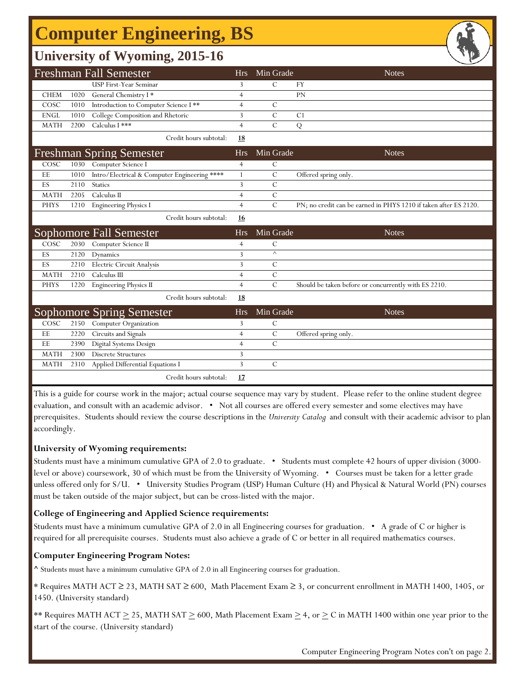# **Computer Engineering, BS**

### **University of Wyoming, 2015-16**

|             |      | <b>Freshman Fall Semester</b>                | Hrs            | Min Grade      | <b>Notes</b>                                                     |
|-------------|------|----------------------------------------------|----------------|----------------|------------------------------------------------------------------|
|             |      | USP First-Year Seminar                       | 3              | С              | FY                                                               |
| <b>CHEM</b> | 1020 | General Chemistry I*                         | $\overline{4}$ |                | <b>PN</b>                                                        |
| COSC        | 1010 | Introduction to Computer Science I**         | $\overline{4}$ | C              |                                                                  |
| <b>ENGL</b> | 1010 | College Composition and Rhetoric             | 3              | $\mathcal{C}$  | C <sub>1</sub>                                                   |
| <b>MATH</b> | 2200 | Calculus I ***                               | $\overline{4}$ | $\mathcal{C}$  | Q                                                                |
|             |      | Credit hours subtotal:                       | <b>18</b>      |                |                                                                  |
|             |      | <b>Freshman Spring Semester</b>              | <b>Hrs</b>     | Min Grade      | <b>Notes</b>                                                     |
| COSC        | 1030 | Computer Science I                           | $\overline{4}$ | C              |                                                                  |
| EE          | 1010 | Intro/Electrical & Computer Engineering **** | $\mathbf{1}$   | $\mathcal{C}$  | Offered spring only.                                             |
| ES          | 2110 | <b>Statics</b>                               | 3              | $\mathcal{C}$  |                                                                  |
| <b>MATH</b> | 2205 | Calculus II                                  | $\overline{4}$ | $\mathcal{C}$  |                                                                  |
| <b>PHYS</b> | 1210 | <b>Engineering Physics I</b>                 | $\overline{4}$ | $\mathcal{C}$  | PN; no credit can be earned in PHYS 1210 if taken after ES 2120. |
|             |      | Credit hours subtotal:                       | <u>16</u>      |                |                                                                  |
|             |      |                                              |                |                |                                                                  |
|             |      | Sophomore Fall Semester                      | <b>Hrs</b>     | Min Grade      | <b>Notes</b>                                                     |
| COSC        | 2030 | Computer Science II                          | $\overline{4}$ | $\mathcal{C}$  |                                                                  |
| ES          | 2120 | Dynamics                                     | 3              | $\wedge$       |                                                                  |
| ES          | 2210 | Electric Circuit Analysis                    | 3              | C              |                                                                  |
| <b>MATH</b> | 2210 | Calculus III                                 | $\overline{4}$ | $\overline{C}$ |                                                                  |
| <b>PHYS</b> | 1220 | <b>Engineering Physics II</b>                | $\overline{4}$ | $\mathcal{C}$  | Should be taken before or concurrently with ES 2210.             |
|             |      | Credit hours subtotal:                       | <u>18</u>      |                |                                                                  |
|             |      | <b>Sophomore Spring Semester</b>             | <b>Hrs</b>     | Min Grade      | <b>Notes</b>                                                     |
| COSC        | 2150 | Computer Organization                        | 3              | С              |                                                                  |
| EE          | 2220 | Circuits and Signals                         | $\overline{4}$ | $\cal C$       | Offered spring only.                                             |
| EE          | 2390 | Digital Systems Design                       | $\overline{4}$ | $\overline{C}$ |                                                                  |
| <b>MATH</b> | 2300 | <b>Discrete Structures</b>                   | 3              |                |                                                                  |
| <b>MATH</b> | 2310 | Applied Differential Equations I             | 3              | $\mathcal{C}$  |                                                                  |

This is a guide for course work in the major; actual course sequence may vary by student. Please refer to the online student degree evaluation, and consult with an academic advisor. • Not all courses are offered every semester and some electives may have prerequisites. Students should review the course descriptions in the *University Catalog* and consult with their academic advisor to plan accordingly.

#### **University of Wyoming requirements:**

Students must have a minimum cumulative GPA of 2.0 to graduate. • Students must complete 42 hours of upper division (3000 level or above) coursework, 30 of which must be from the University of Wyoming. • Courses must be taken for a letter grade unless offered only for S/U. • University Studies Program (USP) Human Culture (H) and Physical & Natural World (PN) courses must be taken outside of the major subject, but can be cross-listed with the major.

#### **College of Engineering and Applied Science requirements:**

Students must have a minimum cumulative GPA of 2.0 in all Engineering courses for graduation. • A grade of C or higher is required for all prerequisite courses. Students must also achieve a grade of C or better in all required mathematics courses.

#### **Computer Engineering Program Notes:**

**^** Students must have a minimum cumulative GPA of 2.0 in all Engineering courses for graduation.

\* Requires MATH ACT ≥ 23, MATH SAT ≥ 600, Math Placement Exam ≥ 3, or concurrent enrollment in MATH 1400, 1405, or 1450. (University standard)

\*\* Requires MATH ACT  $\geq$  25, MATH SAT  $\geq$  600, Math Placement Exam  $\geq$  4, or  $\geq$  C in MATH 1400 within one year prior to the start of the course. (University standard)

Computer Engineering Program Notes con't on page 2.